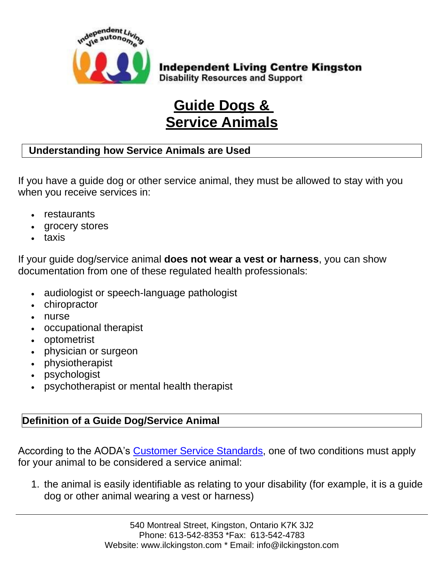

**Independent Living Centre Kingston Disability Resources and Support** 

# **Guide Dogs & Service Animals**

## **Understanding how Service Animals are Used**

If you have a guide dog or other service animal, they must be allowed to stay with you when you receive services in:

- restaurants
- grocery stores
- taxis

If your guide dog/service animal **does not wear a vest or harness**, you can show documentation from one of these regulated health professionals:

- audiologist or speech-language pathologist
- chiropractor
- nurse
- occupational therapist
- optometrist
- physician or surgeon
- physiotherapist
- psychologist
- psychotherapist or mental health therapist

## **Definition of a Guide Dog/Service Animal**

According to the AODA's [Customer Service Standards,](https://www.ontario.ca/laws/regulation/110191#BK149) one of two conditions must apply for your animal to be considered a service animal:

1. the animal is easily identifiable as relating to your disability (for example, it is a guide dog or other animal wearing a vest or harness)